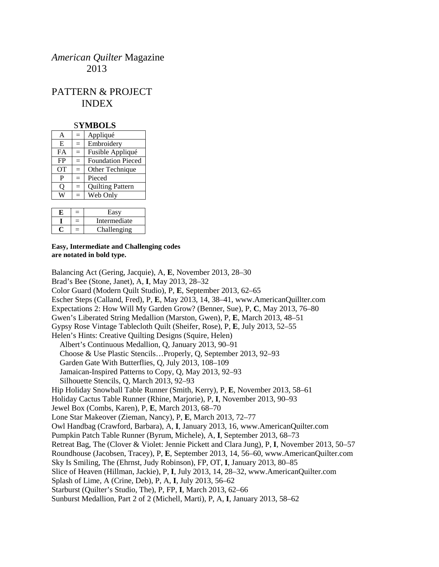# *American Quilter* Magazine 2013

# PATTERN & PROJECT INDEX

#### S**YMBOLS**

| A         | —   | Appliqué                 |
|-----------|-----|--------------------------|
| E         | $=$ | Embroidery               |
| FA        | $=$ | Fusible Appliqué         |
| FP        | $=$ | <b>Foundation Pieced</b> |
| <b>OT</b> | $=$ | Other Technique          |
| P         |     | Pieced                   |
| Ő         | $=$ | <b>Quilting Pattern</b>  |
|           |     | Web Only                 |
|           |     |                          |

|  | Easy         |
|--|--------------|
|  | Intermediate |
|  | Challenging  |

#### **Easy, Intermediate and Challenging codes are notated in bold type.**

Balancing Act (Gering, Jacquie), A, **E**, November 2013, 28–30 Brad's Bee (Stone, Janet), A, **I**, May 2013, 28–32 Color Guard (Modern Quilt Studio), P, **E**, September 2013, 62–65 Escher Steps (Calland, Fred), P, **E**, May 2013, 14, 38–41, www.AmericanQuillter.com Expectations 2: How Will My Garden Grow? (Benner, Sue), P, **C**, May 2013, 76–80 Gwen's Liberated String Medallion (Marston, Gwen), P, **E**, March 2013, 48–51 Gypsy Rose Vintage Tablecloth Quilt (Sheifer, Rose), P, **E**, July 2013, 52–55 Helen's Hints: Creative Quilting Designs (Squire, Helen) Albert's Continuous Medallion, Q, January 2013, 90–91 Choose & Use Plastic Stencils…Properly, Q, September 2013, 92–93 Garden Gate With Butterflies, Q, July 2013, 108–109 Jamaican-Inspired Patterns to Copy, Q, May 2013, 92–93 Silhouette Stencils, Q, March 2013, 92–93 Hip Holiday Snowball Table Runner (Smith, Kerry), P, **E**, November 2013, 58–61 Holiday Cactus Table Runner (Rhine, Marjorie), P, **I**, November 2013, 90–93 Jewel Box (Combs, Karen), P, **E**, March 2013, 68–70 Lone Star Makeover (Zieman, Nancy), P, **E**, March 2013, 72–77 Owl Handbag (Crawford, Barbara), A, **I**, January 2013, 16, www.AmericanQuilter.com Pumpkin Patch Table Runner (Byrum, Michele), A, **I**, September 2013, 68–73 Retreat Bag, The (Clover & Violet: Jennie Pickett and Clara Jung), P, **I**, November 2013, 50–57 Roundhouse (Jacobsen, Tracey), P, **E**, September 2013, 14, 56–60, www.AmericanQuilter.com Sky Is Smiling, The (Ehrnst, Judy Robinson), FP, OT, **I**, January 2013, 80–85 Slice of Heaven (Hillman, Jackie), P, **I**, July 2013, 14, 28–32, www.AmericanQuilter.com Splash of Lime, A (Crine, Deb), P, A, **I**, July 2013, 56–62 Starburst (Quilter's Studio, The), P, FP, **I**, March 2013, 62–66 Sunburst Medallion, Part 2 of 2 (Michell, Marti), P, A, **I**, January 2013, 58–62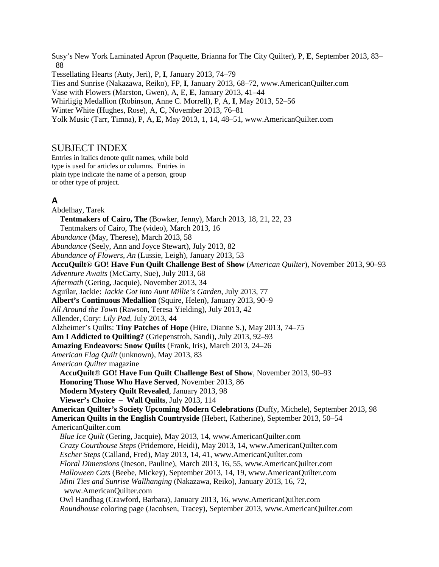Susy's New York Laminated Apron (Paquette, Brianna for The City Quilter), P, **E**, September 2013, 83– 88 Tessellating Hearts (Auty, Jeri), P, **I**, January 2013, 74–79 Ties and Sunrise (Nakazawa, Reiko), FP, **I**, January 2013, 68–72, www.AmericanQuilter.com Vase with Flowers (Marston, Gwen), A, E, **E**, January 2013, 41–44 Whirligig Medallion (Robinson, Anne C. Morrell), P, A, **I**, May 2013, 52–56 Winter White (Hughes, Rose), A, **C**, November 2013, 76–81 Yolk Music (Tarr, Timna), P, A, **E**, May 2013, 1, 14, 48–51, www.AmericanQuilter.com

#### SUBJECT INDEX

Entries in italics denote quilt names, while bold type is used for articles or columns. Entries in plain type indicate the name of a person, group or other type of project.

#### **A**

Abdelhay, Tarek **Tentmakers of Cairo, The** (Bowker, Jenny), March 2013, 18, 21, 22, 23 Tentmakers of Cairo, The (video), March 2013, 16 *Abundance* (May, Therese), March 2013, 58 *Abundance* (Seely, Ann and Joyce Stewart), July 2013, 82 *Abundance of Flowers, An* (Lussie, Leigh), January 2013, 53 **AccuQuilt**® **GO! Have Fun Quilt Challenge Best of Show** (*American Quilter*), November 2013, 90–93 *Adventure Awaits* (McCarty, Sue), July 2013, 68 *Aftermath* (Gering, Jacquie), November 2013, 34 Aguilar, Jackie: *Jackie Got into Aunt Millie's Garden*, July 2013, 77 **Albert's Continuous Medallion** (Squire, Helen), January 2013, 90–9 *All Around the Town* (Rawson, Teresa Yielding), July 2013, 42 Allender, Cory: *Lily Pad*, July 2013, 44 Alzheimer's Quilts: **Tiny Patches of Hope** (Hire, Dianne S.), May 2013, 74–75 **Am I Addicted to Quilting?** (Griepenstroh, Sandi), July 2013, 92–93 **Amazing Endeavors: Snow Quilts** (Frank, Iris), March 2013, 24–26 *American Flag Quilt* (unknown), May 2013, 83 *American Quilter* magazine **AccuQuilt**® **GO! Have Fun Quilt Challenge Best of Show**, November 2013, 90–93 **Honoring Those Who Have Served**, November 2013, 86 **Modern Mystery Quilt Revealed**, January 2013, 98 **Viewer's Choice – Wall Quilts**, July 2013, 114 **American Quilter's Society Upcoming Modern Celebrations** (Duffy, Michele), September 2013, 98 **American Quilts in the English Countryside** (Hebert, Katherine), September 2013, 50–54 AmericanQuilter.com *Blue Ice Quilt* (Gering, Jacquie), May 2013, 14, www.AmericanQuilter.com *Crazy Courthouse Steps* (Pridemore, Heidi), May 2013, 14, www.AmericanQuilter.com *Escher Steps* (Calland, Fred), May 2013, 14, 41, www.AmericanQuilter.com *Floral Dimensions* (Ineson, Pauline), March 2013, 16, 55, www.AmericanQuilter.com *Halloween Cats* (Beebe, Mickey), September 2013, 14, 19, www.AmericanQuilter.com *Mini Ties and Sunrise Wallhanging* (Nakazawa, Reiko), January 2013, 16, 72, www.AmericanQuilter.com Owl Handbag (Crawford, Barbara), January 2013, 16, www.AmericanQuilter.com *Roundhouse* coloring page (Jacobsen, Tracey), September 2013, www.AmericanQuilter.com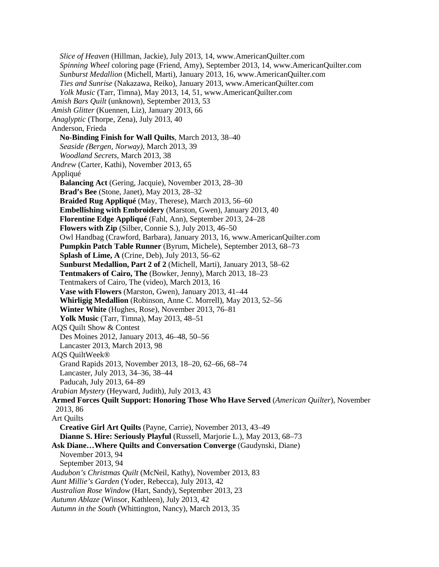*Slice of Heaven* (Hillman, Jackie), July 2013, 14, www.AmericanQuilter.com *Spinning Wheel* coloring page (Friend, Amy), September 2013, 14, www.AmericanQuilter.com *Sunburst Medallion* (Michell, Marti), January 2013, 16, www.AmericanQuilter.com *Ties and Sunrise* (Nakazawa, Reiko), January 2013, www.AmericanQuilter.com *Yolk Music* (Tarr, Timna), May 2013, 14, 51, www.AmericanQuilter.com *Amish Bars Quilt* (unknown), September 2013, 53 *Amish Glitter* (Kuennen, Liz), January 2013, 66 *Anaglyptic* (Thorpe, Zena), July 2013, 40 Anderson, Frieda **No-Binding Finish for Wall Quilts**, March 2013, 38–40 *Seaside (Bergen, Norway)*, March 2013, 39 *Woodland Secrets*, March 2013, 38 *Andrew* (Carter, Kathi), November 2013, 65 Appliqué **Balancing Act** (Gering, Jacquie), November 2013, 28–30 **Brad's Bee** (Stone, Janet), May 2013, 28–32 **Braided Rug Appliqué** (May, Therese), March 2013, 56–60 **Embellishing with Embroidery** (Marston, Gwen), January 2013, 40 **Florentine Edge Appliqué** (Fahl, Ann), September 2013, 24–28 **Flowers with Zip** (Silber, Connie S.), July 2013, 46–50 Owl Handbag (Crawford, Barbara), January 2013, 16, www.AmericanQuilter.com **Pumpkin Patch Table Runner** (Byrum, Michele), September 2013, 68–73 **Splash of Lime, A** (Crine, Deb), July 2013, 56–62 **Sunburst Medallion, Part 2 of 2** (Michell, Marti), January 2013, 58–62 **Tentmakers of Cairo, The** (Bowker, Jenny), March 2013, 18–23 Tentmakers of Cairo, The (video), March 2013, 16 **Vase with Flowers** (Marston, Gwen), January 2013, 41–44 **Whirligig Medallion** (Robinson, Anne C. Morrell), May 2013, 52–56 **Winter White** (Hughes, Rose), November 2013, 76–81 **Yolk Music** (Tarr, Timna), May 2013, 48–51 AQS Quilt Show & Contest Des Moines 2012, January 2013, 46–48, 50–56 Lancaster 2013, March 2013, 98 AQS QuiltWeek® Grand Rapids 2013, November 2013, 18–20, 62–66, 68–74 Lancaster, July 2013, 34–36, 38–44 Paducah, July 2013, 64–89 *Arabian Mystery* (Heyward, Judith), July 2013, 43 **Armed Forces Quilt Support: Honoring Those Who Have Served** (*American Quilter*), November 2013, 86 Art Quilts **Creative Girl Art Quilts** (Payne, Carrie), November 2013, 43–49 **Dianne S. Hire: Seriously Playful** (Russell, Marjorie L.), May 2013, 68–73 **Ask Diane…Where Quilts and Conversation Converge** (Gaudynski, Diane) November 2013, 94 September 2013, 94 *Audubon's Christmas Quilt* (McNeil, Kathy), November 2013, 83 *Aunt Millie's Garden* (Yoder, Rebecca), July 2013, 42 *Australian Rose Window* (Hart, Sandy), September 2013, 23 *Autumn Ablaze* (Winsor, Kathleen), July 2013, 42 *Autumn in the South* (Whittington, Nancy), March 2013, 35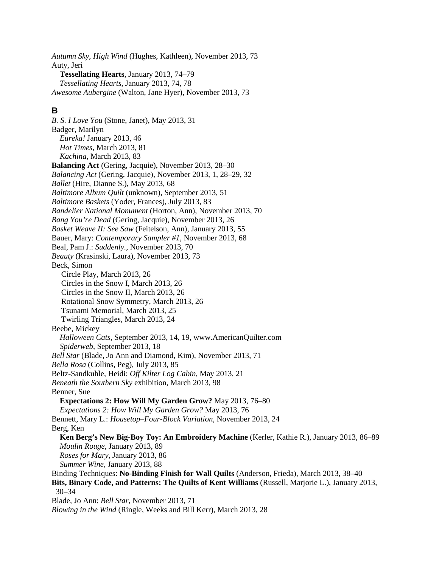*Autumn Sky, High Wind* (Hughes, Kathleen), November 2013, 73 Auty, Jeri **Tessellating Hearts**, January 2013, 74–79 *Tessellating Hearts*, January 2013, 74, 78 *Awesome Aubergine* (Walton, Jane Hyer), November 2013, 73

## **B**

*B. S. I Love You* (Stone, Janet), May 2013, 31 Badger, Marilyn *Eureka!* January 2013, 46 *Hot Times*, March 2013, 81 *Kachina*, March 2013, 83 **Balancing Act** (Gering, Jacquie), November 2013, 28–30 *Balancing Act* (Gering, Jacquie), November 2013, 1, 28–29, 32 *Ballet* (Hire, Dianne S.), May 2013, 68 *Baltimore Album Quilt* (unknown), September 2013, 51 *Baltimore Baskets* (Yoder, Frances), July 2013, 83 *Bandelier National Monument* (Horton, Ann), November 2013, 70 *Bang You're Dead* (Gering, Jacquie), November 2013, 26 *Basket Weave II: See Saw* (Feitelson, Ann), January 2013, 55 Bauer, Mary: *Contemporary Sampler #1*, November 2013, 68 Beal, Pam J.: *Suddenly.*, November 2013, 70 *Beauty* (Krasinski, Laura), November 2013, 73 Beck, Simon Circle Play, March 2013, 26 Circles in the Snow I, March 2013, 26 Circles in the Snow II, March 2013, 26 Rotational Snow Symmetry, March 2013, 26 Tsunami Memorial, March 2013, 25 Twirling Triangles, March 2013, 24 Beebe, Mickey *Halloween Cats*, September 2013, 14, 19, www.AmericanQuilter.com *Spiderweb*, September 2013, 18 *Bell Star* (Blade, Jo Ann and Diamond, Kim), November 2013, 71 *Bella Rosa* (Collins, Peg), July 2013, 85 Beltz-Sandkuhle, Heidi: *Off Kilter Log Cabin*, May 2013, 21 *Beneath the Southern Sky* exhibition, March 2013, 98 Benner, Sue **Expectations 2: How Will My Garden Grow?** May 2013, 76–80 *Expectations 2: How Will My Garden Grow?* May 2013, 76 Bennett, Mary L.: *Housetop–Four-Block Variation*, November 2013, 24 Berg, Ken **Ken Berg's New Big-Boy Toy: An Embroidery Machine** (Kerler, Kathie R.), January 2013, 86–89 *Moulin Rouge*, January 2013, 89 *Roses for Mary*, January 2013, 86 *Summer Wine*, January 2013, 88 Binding Techniques: **No-Binding Finish for Wall Quilts** (Anderson, Frieda), March 2013, 38–40 **Bits, Binary Code, and Patterns: The Quilts of Kent Williams** (Russell, Marjorie L.), January 2013, 30–34 Blade, Jo Ann: *Bell Star*, November 2013, 71 *Blowing in the Wind* (Ringle, Weeks and Bill Kerr), March 2013, 28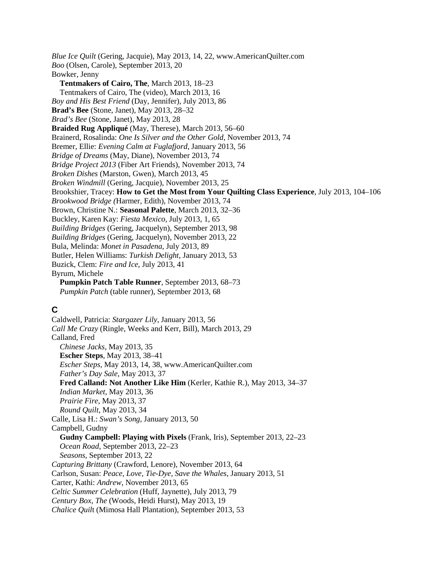*Blue Ice Quilt* (Gering, Jacquie), May 2013, 14, 22, www.AmericanQuilter.com *Boo* (Olsen, Carole), September 2013, 20 Bowker, Jenny **Tentmakers of Cairo, The**, March 2013, 18–23 Tentmakers of Cairo, The (video), March 2013, 16 *Boy and His Best Friend* (Day, Jennifer), July 2013, 86 **Brad's Bee** (Stone, Janet), May 2013, 28–32 *Brad's Bee* (Stone, Janet), May 2013, 28 **Braided Rug Appliqué** (May, Therese), March 2013, 56–60 Brainerd, Rosalinda: *One Is Silver and the Other Gold*, November 2013, 74 Bremer, Ellie: *Evening Calm at Fuglafjord*, January 2013, 56 *Bridge of Dreams* (May, Diane), November 2013, 74 *Bridge Project 2013* (Fiber Art Friends), November 2013, 74 *Broken Dishes* (Marston, Gwen), March 2013, 45 *Broken Windmill* (Gering, Jacquie), November 2013, 25 Brookshier, Tracey: **How to Get the Most from Your Quilting Class Experience**, July 2013, 104–106 *Brookwood Bridge (*Harmer, Edith), November 2013, 74 Brown, Christine N.: **Seasonal Palette**, March 2013, 32–36 Buckley, Karen Kay: *Fiesta Mexico*, July 2013, 1, 65 *Building Bridges* (Gering, Jacquelyn), September 2013, 98 *Building Bridges* (Gering, Jacquelyn), November 2013, 22 Bula, Melinda: *Monet in Pasadena*, July 2013, 89 Butler, Helen Williams: *Turkish Delight*, January 2013, 53 Buzick, Clem: *Fire and Ice*, July 2013, 41 Byrum, Michele **Pumpkin Patch Table Runner**, September 2013, 68–73 *Pumpkin Patch* (table runner), September 2013, 68 **C** Caldwell, Patricia: *Stargazer Lily*, January 2013, 56 *Call Me Crazy* (Ringle, Weeks and Kerr, Bill), March 2013, 29 Calland, Fred *Chinese Jacks*, May 2013, 35 **Escher Steps**, May 2013, 38–41 *Escher Steps*, May 2013, 14, 38, www.AmericanQuilter.com *Father's Day Sale*, May 2013, 37 **Fred Calland: Not Another Like Him** (Kerler, Kathie R.), May 2013, 34–37 *Indian Market*, May 2013, 36 *Prairie Fire*, May 2013, 37 *Round Quilt*, May 2013, 34 Calle, Lisa H.: *Swan's Song*, January 2013, 50 Campbell, Gudny **Gudny Campbell: Playing with Pixels** (Frank, Iris), September 2013, 22–23

*Ocean Road*, September 2013, 22–23

Carter, Kathi: *Andrew*, November 2013, 65

*Capturing Brittany* (Crawford, Lenore), November 2013, 64

*Celtic Summer Celebration* (Huff, Jaynette), July 2013, 79 *Century Box, The* (Woods, Heidi Hurst), May 2013, 19 *Chalice Quil*t (Mimosa Hall Plantation), September 2013, 53

Carlson, Susan: *Peace, Love, Tie-Dye, Save the Whales*, January 2013, 51

*Seasons*, September 2013, 22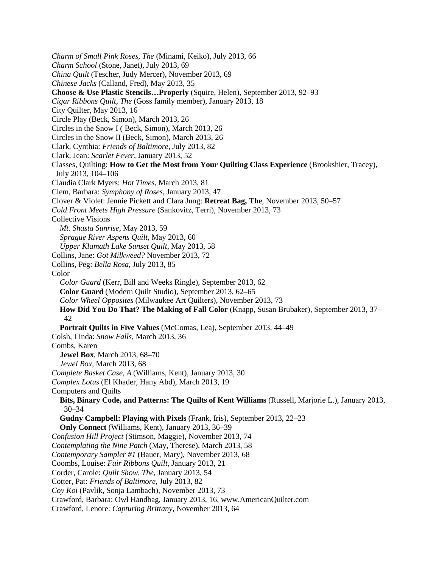*Charm of Small Pink Roses, The* (Minami, Keiko), July 2013, 66 *Charm School* (Stone, Janet), July 2013, 69 *China Quilt* (Tescher, Judy Mercer), November 2013, 69 *Chinese Jacks* (Calland, Fred), May 2013, 35 **Choose & Use Plastic Stencils…Properly** (Squire, Helen), September 2013, 92–93 *Cigar Ribbons Quilt, The* (Goss family member), January 2013, 18 City Quilter, May 2013, 16 Circle Play (Beck, Simon), March 2013, 26 Circles in the Snow I ( Beck, Simon), March 2013, 26 Circles in the Snow II (Beck, Simon), March 2013, 26 Clark, Cynthia: *Friends of Baltimore*, July 2013, 82 Clark, Jean: *Scarlet Fever*, January 2013, 52 Classes, Quilting: **How to Get the Most from Your Quilting Class Experience** (Brookshier, Tracey), July 2013, 104–106 Claudia Clark Myers: *Hot Times*, March 2013, 81 Clem, Barbara: *Symphony of Roses*, January 2013, 47 Clover & Violet: Jennie Pickett and Clara Jung: **Retreat Bag, The**, November 2013, 50–57 *Cold Front Meets High Pressure* (Sankovitz, Terri), November 2013, 73 Collective Visions *Mt. Shasta Sunrise*, May 2013, 59 *Sprague River Aspens Quilt*, May 2013, 60 *Upper Klamath Lake Sunset Quilt*, May 2013, 58 Collins, Jane: *Got Milkweed?* November 2013, 72 Collins, Peg: *Bella Rosa*, July 2013, 85 Color *Color Guard* (Kerr, Bill and Weeks Ringle), September 2013, 62 **Color Guard** (Modern Quilt Studio), September 2013, 62–65 *Color Wheel Opposites* (Milwaukee Art Quilters), November 2013, 73 **How Did You Do That? The Making of Fall Color** (Knapp, Susan Brubaker), September 2013, 37– 42 **Portrait Quilts in Five Values** (McComas, Lea), September 2013, 44–49 Colsh, Linda: *Snow Falls*, March 2013, 36 Combs, Karen **Jewel Box**, March 2013, 68–70 *Jewel Box*, March 2013, 68 *Complete Basket Case, A* (Williams, Kent), January 2013, 30 *Complex Lotus* (El Khader, Hany Abd), March 2013, 19 Computers and Quilts **Bits, Binary Code, and Patterns: The Quilts of Kent Williams** (Russell, Marjorie L.), January 2013, 30–34 **Gudny Campbell: Playing with Pixels** (Frank, Iris), September 2013, 22–23 **Only Connect** (Williams, Kent), January 2013, 36–39 *Confusion Hill Project* (Stimson, Maggie), November 2013, 74 *Contemplating the Nine Patch* (May, Therese), March 2013, 58 *Contemporary Sampler #1* (Bauer, Mary), November 2013, 68 Coombs, Louise: *Fair Ribbons Quilt*, January 2013, 21 Corder, Carole: *Quilt Show, The*, January 2013, 54 Cotter, Pat: *Friends of Baltimore*, July 2013, 82 *Coy Koi* (Pavlik, Sonja Lambach), November 2013, 73 Crawford, Barbara: Owl Handbag, January 2013, 16, www.AmericanQuilter.com Crawford, Lenore: *Capturing Brittany*, November 2013, 64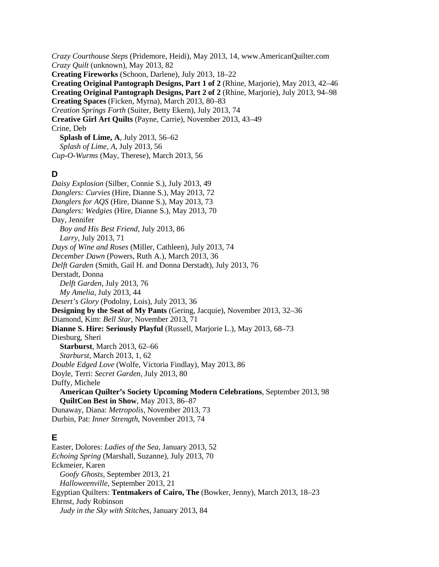*Crazy Courthouse Steps* (Pridemore, Heidi), May 2013, 14, www.AmericanQuilter.com *Crazy Quilt* (unknown), May 2013, 82 **Creating Fireworks** (Schoon, Darlene), July 2013, 18–22 **Creating Original Pantograph Designs, Part 1 of 2** (Rhine, Marjorie), May 2013, 42–46 **Creating Original Pantograph Designs, Part 2 of 2** (Rhine, Marjorie), July 2013, 94–98 **Creating Spaces** (Ficken, Myrna), March 2013, 80–83 *Creation Springs Forth* (Suiter, Betty Ekern), July 2013, 74 **Creative Girl Art Quilts** (Payne, Carrie), November 2013, 43–49 Crine, Deb **Splash of Lime, A**, July 2013, 56–62 *Splash of Lime, A*, July 2013, 56 *Cup-O-Wurms* (May, Therese), March 2013, 56

### **D**

*Daisy Explosion* (Silber, Connie S.), July 2013, 49 *Danglers: Curvies* (Hire, Dianne S.), May 2013, 72 *Danglers for AQS* (Hire, Dianne S.), May 2013, 73 *Danglers: Wedgies* (Hire, Dianne S.), May 2013, 70 Day, Jennifer *Boy and His Best Friend*, July 2013, 86 *Larry*, July 2013, 71 *Days of Wine and Roses* (Miller, Cathleen), July 2013, 74 *December Dawn* (Powers, Ruth A.), March 2013, 36 *Delft Garden* (Smith, Gail H. and Donna Derstadt), July 2013, 76 Derstadt, Donna *Delft Garden*, July 2013, 76 *My Amelia*, July 2013, 44 *Desert's Glory* (Podolny, Lois), July 2013, 36 **Designing by the Seat of My Pants** (Gering, Jacquie), November 2013, 32–36 Diamond, Kim: *Bell Star*, November 2013, 71 **Dianne S. Hire: Seriously Playful** (Russell, Marjorie L.), May 2013, 68–73 Diesburg, Sheri **Starburst**, March 2013, 62–66 *Starburst*, March 2013, 1, 62 *Double Edged Love* (Wolfe, Victoria Findlay), May 2013, 86 Doyle, Terri: *Secret Garden*, July 2013, 80 Duffy, Michele **American Quilter's Society Upcoming Modern Celebrations**, September 2013, 98 **QuiltCon Best in Show**, May 2013, 86–87 Dunaway, Diana: *Metropolis*, November 2013, 73 Durbin, Pat: *Inner Strength*, November 2013, 74

# **E**

Easter, Dolores: *Ladies of the Sea*, January 2013, 52 *Echoing Spring* (Marshall, Suzanne), July 2013, 70 Eckmeier, Karen *Goofy Ghosts*, September 2013, 21 *Halloweenville*, September 2013, 21 Egyptian Quilters: **Tentmakers of Cairo, The** (Bowker, Jenny), March 2013, 18–23 Ehrnst, Judy Robinson *Judy in the Sky with Stitches*, January 2013, 84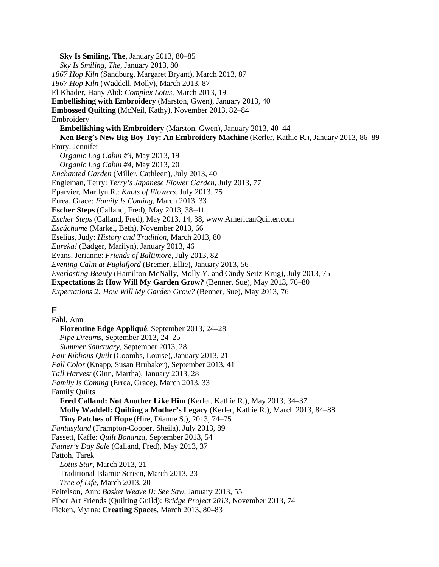**Sky Is Smiling, The**, January 2013, 80–85 *Sky Is Smiling, The*, January 2013, 80 *1867 Hop Kiln* (Sandburg, Margaret Bryant), March 2013, 87 *1867 Hop Kiln* (Waddell, Molly), March 2013, 87 El Khader, Hany Abd: *Complex Lotus,* March 2013, 19 **Embellishing with Embroidery** (Marston, Gwen), January 2013, 40 **Embossed Quilting** (McNeil, Kathy), November 2013, 82–84 Embroidery **Embellishing with Embroidery** (Marston, Gwen), January 2013, 40–44 **Ken Berg's New Big-Boy Toy: An Embroidery Machine** (Kerler, Kathie R.), January 2013, 86–89 Emry, Jennifer *Organic Log Cabin #3*, May 2013, 19 *Organic Log Cabin #4*, May 2013, 20 *Enchanted Garden* (Miller, Cathleen), July 2013, 40 Engleman, Terry: *Terry's Japanese Flower Garden*, July 2013, 77 Eparvier, Marilyn R.: *Knots of Flowers*, July 2013, 75 Errea, Grace: *Family Is Coming*, March 2013, 33 **Escher Steps** (Calland, Fred), May 2013, 38–41 *Escher Steps* (Calland, Fred), May 2013, 14, 38, www.AmericanQuilter.com *Escúchame* (Markel, Beth), November 2013, 66 Eselius, Judy: *History and Tradition*, March 2013, 80 *Eureka!* (Badger, Marilyn), January 2013, 46 Evans, Jerianne: *Friends of Baltimore*, July 2013, 82 *Evening Calm at Fuglafjord* (Bremer, Ellie), January 2013, 56 *Everlasting Beauty* (Hamilton-McNally, Molly Y. and Cindy Seitz-Krug), July 2013, 75 **Expectations 2: How Will My Garden Grow?** (Benner, Sue), May 2013, 76–80 *Expectations 2: How Will My Garden Grow?* (Benner, Sue), May 2013, 76 **F**

Fahl, Ann **Florentine Edge Appliqué**, September 2013, 24–28 *Pipe Dreams*, September 2013, 24–25 *Summer Sanctuary*, September 2013, 28 *Fair Ribbons Quilt* (Coombs, Louise), January 2013, 21 *Fall Color* (Knapp, Susan Brubaker), September 2013, 41 *Tall Harvest* (Ginn, Martha), January 2013, 28 *Family Is Coming* (Errea, Grace), March 2013, 33 Family Quilts **Fred Calland: Not Another Like Him** (Kerler, Kathie R.), May 2013, 34–37 **Molly Waddell: Quilting a Mother's Legacy** (Kerler, Kathie R.), March 2013, 84–88 **Tiny Patches of Hope** (Hire, Dianne S.), 2013, 74–75 *Fantasyland* (Frampton-Cooper, Sheila), July 2013, 89 Fassett, Kaffe: *Quilt Bonanza*, September 2013, 54 *Father's Day Sale* (Calland, Fred), May 2013, 37 Fattoh, Tarek *Lotus Star*, March 2013, 21 Traditional Islamic Screen, March 2013, 23 *Tree of Life*, March 2013, 20 Feitelson, Ann: *Basket Weave II: See Saw*, January 2013, 55 Fiber Art Friends (Quilting Guild): *Bridge Project 2013*, November 2013, 74 Ficken, Myrna: **Creating Spaces**, March 2013, 80–83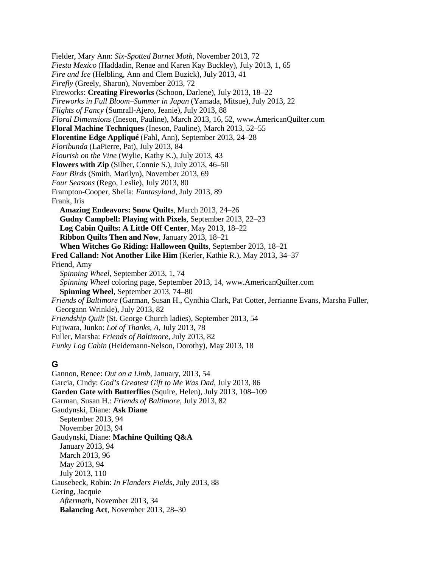Fielder, Mary Ann: *Six-Spotted Burnet Moth*, November 2013, 72 *Fiesta Mexico* (Haddadin, Renae and Karen Kay Buckley), July 2013, 1, 65 *Fire and Ice* (Helbling, Ann and Clem Buzick), July 2013, 41 *Firefly* (Greely, Sharon), November 2013, 72 Fireworks: **Creating Fireworks** (Schoon, Darlene), July 2013, 18–22 *Fireworks in Full Bloom–Summer in Japan* (Yamada, Mitsue), July 2013, 22 *Flights of Fancy* (Sumrall-Ajero, Jeanie), July 2013, 88 *Floral Dimensions* (Ineson, Pauline), March 2013, 16, 52, www.AmericanQuilter.com **Floral Machine Techniques** (Ineson, Pauline), March 2013, 52–55 **Florentine Edge Appliqué** (Fahl, Ann), September 2013, 24–28 *Floribunda* (LaPierre, Pat), July 2013, 84 *Flourish on the Vine* (Wylie, Kathy K.), July 2013, 43 **Flowers with Zip** (Silber, Connie S.), July 2013, 46–50 *Four Birds* (Smith, Marilyn), November 2013, 69 *Four Seasons* (Rego, Leslie), July 2013, 80 Frampton-Cooper, Sheila: *Fantasyland*, July 2013, 89 Frank, Iris **Amazing Endeavors: Snow Quilts**, March 2013, 24–26 **Gudny Campbell: Playing with Pixels**, September 2013, 22–23 **Log Cabin Quilts: A Little Off Center**, May 2013, 18–22 **Ribbon Quilts Then and Now**, January 2013, 18–21 **When Witches Go Riding: Halloween Quilts**, September 2013, 18–21 **Fred Calland: Not Another Like Him** (Kerler, Kathie R.), May 2013, 34–37 Friend, Amy *Spinning Wheel*, September 2013, 1, 74 *Spinning Wheel* coloring page, September 2013, 14, www.AmericanQuilter.com **Spinning Wheel**, September 2013, 74–80 *Friends of Baltimore* (Garman, Susan H., Cynthia Clark, Pat Cotter, Jerrianne Evans, Marsha Fuller, Georgann Wrinkle), July 2013, 82 *Friendship Quilt* (St. George Church ladies), September 2013, 54 Fujiwara, Junko: *Lot of Thanks, A*, July 2013, 78 Fuller, Marsha: *Friends of Baltimore*, July 2013, 82 *Funky Log Cabin* (Heidemann-Nelson, Dorothy), May 2013, 18

### **G**

Gannon, Renee: *Out on a Limb*, January, 2013, 54 Garcia, Cindy: *God's Greatest Gift to Me Was Dad*, July 2013, 86 **Garden Gate with Butterflies** (Squire, Helen), July 2013, 108–109 Garman, Susan H.: *Friends of Baltimore*, July 2013, 82 Gaudynski, Diane: **Ask Diane** September 2013, 94 November 2013, 94 Gaudynski, Diane: **Machine Quilting Q&A** January 2013, 94 March 2013, 96 May 2013, 94 July 2013, 110 Gausebeck, Robin: *In Flanders Fields*, July 2013, 88 Gering, Jacquie *Aftermath*, November 2013, 34 **Balancing Act**, November 2013, 28–30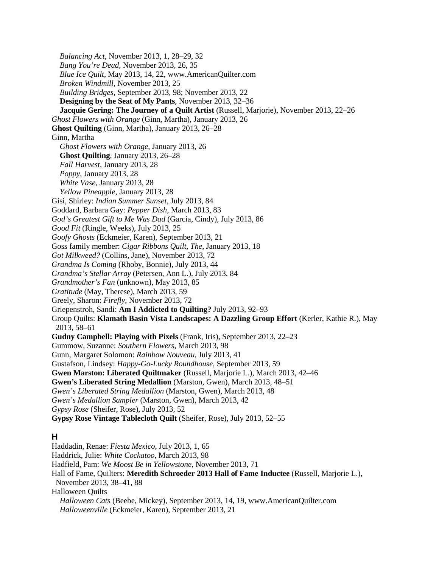*Balancing Act*, November 2013, 1, 28–29, 32 *Bang You're Dead*, November 2013, 26, 35 *Blue Ice Quilt*, May 2013, 14, 22, www.AmericanQuilter.com *Broken Windmill*, November 2013, 25 *Building Bridges*, September 2013, 98; November 2013, 22 **Designing by the Seat of My Pants**, November 2013, 32–36 **Jacquie Gering: The Journey of a Quilt Artist** (Russell, Marjorie), November 2013, 22–26 *Ghost Flowers with Orange* (Ginn, Martha), January 2013, 26 **Ghost Quilting** (Ginn, Martha), January 2013, 26–28 Ginn, Martha *Ghost Flowers with Orange*, January 2013, 26 **Ghost Quilting**, January 2013, 26–28 *Fall Harvest*, January 2013, 28 *Poppy*, January 2013, 28 *White Vase*, January 2013, 28 *Yellow Pineapple*, January 2013, 28 Gisi, Shirley: *Indian Summer Sunset*, July 2013, 84 Goddard, Barbara Gay: *Pepper Dish*, March 2013, 83 *God's Greatest Gift to Me Was Dad* (Garcia, Cindy), July 2013, 86 *Good Fit* (Ringle, Weeks), July 2013, 25 *Goofy Ghosts* (Eckmeier, Karen), September 2013, 21 Goss family member: *Cigar Ribbons Quilt, The*, January 2013, 18 *Got Milkweed?* (Collins, Jane), November 2013, 72 *Grandma Is Coming* (Rhoby, Bonnie), July 2013, 44 *Grandma's Stellar Array* (Petersen, Ann L.), July 2013, 84 *Grandmother's Fan* (unknown), May 2013, 85 *Gratitude* (May, Therese), March 2013, 59 Greely, Sharon: *Firefly*, November 2013, 72 Griepenstroh, Sandi: **Am I Addicted to Quilting?** July 2013, 92–93 Group Quilts: **Klamath Basin Vista Landscapes: A Dazzling Group Effort** (Kerler, Kathie R.), May 2013, 58–61 **Gudny Campbell: Playing with Pixels** (Frank, Iris), September 2013, 22–23 Gummow, Suzanne: *Southern Flowers*, March 2013, 98 Gunn, Margaret Solomon: *Rainbow Nouveau*, July 2013, 41 Gustafson, Lindsey: *Happy-Go-Lucky Roundhouse*, September 2013, 59 **Gwen Marston: Liberated Quiltmaker** (Russell, Marjorie L.), March 2013, 42–46 **Gwen's Liberated String Medallion** (Marston, Gwen), March 2013, 48–51 *Gwen's Liberated String Medallion* (Marston, Gwen), March 2013, 48 *Gwen's Medallion Sampler* (Marston, Gwen), March 2013, 42 *Gypsy Rose* (Sheifer, Rose), July 2013, 52 **Gypsy Rose Vintage Tablecloth Quilt** (Sheifer, Rose), July 2013, 52–55 **H** Haddadin, Renae: *Fiesta Mexico*, July 2013, 1, 65 Haddrick, Julie: *White Cockatoo*, March 2013, 98 Hadfield, Pam: *We Moost Be in Yellowstone*, November 2013, 71 Hall of Fame, Quilters: **Meredith Schroeder 2013 Hall of Fame Inductee** (Russell, Marjorie L.), November 2013, 38–41, 88

Halloween Quilts

*Halloween Cats* (Beebe, Mickey), September 2013, 14, 19, www.AmericanQuilter.com *Halloweenville* (Eckmeier, Karen), September 2013, 21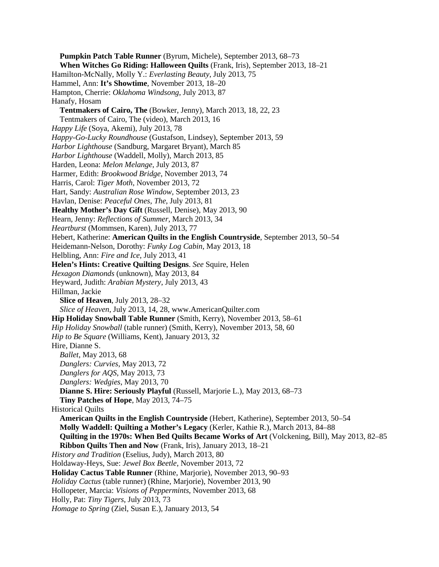**Pumpkin Patch Table Runner** (Byrum, Michele), September 2013, 68–73 **When Witches Go Riding: Halloween Quilts** (Frank, Iris), September 2013, 18–21 Hamilton-McNally, Molly Y.: *Everlasting Beauty*, July 2013, 75 Hammel, Ann: **It's Showtime**, November 2013, 18–20 Hampton, Cherrie: *Oklahoma Windsong*, July 2013, 87 Hanafy, Hosam **Tentmakers of Cairo, The** (Bowker, Jenny), March 2013, 18, 22, 23 Tentmakers of Cairo, The (video), March 2013, 16 *Happy Life* (Soya, Akemi), July 2013, 78 *Happy-Go-Lucky Roundhouse* (Gustafson, Lindsey), September 2013, 59 *Harbor Lighthouse* (Sandburg, Margaret Bryant), March 85 *Harbor Lighthouse* (Waddell, Molly), March 2013, 85 Harden, Leona: *Melon Melange*, July 2013, 87 Harmer, Edith: *Brookwood Bridge*, November 2013, 74 Harris, Carol: *Tiger Moth*, November 2013, 72 Hart, Sandy: *Australian Rose Window*, September 2013, 23 Havlan, Denise: *Peaceful Ones, The*, July 2013, 81 **Healthy Mother's Day Gift** (Russell, Denise), May 2013, 90 Hearn, Jenny: *Reflections of Summer*, March 2013, 34 *Heartburst* (Mommsen, Karen), July 2013, 77 Hebert, Katherine: **American Quilts in the English Countryside**, September 2013, 50–54 Heidemann-Nelson, Dorothy: *Funky Log Cabin*, May 2013, 18 Helbling, Ann: *Fire and Ice*, July 2013, 41 **Helen's Hints: Creative Quilting Designs**. *See* Squire, Helen *Hexagon Diamonds* (unknown), May 2013, 84 Heyward, Judith: *Arabian Mystery*, July 2013, 43 Hillman, Jackie **Slice of Heaven**, July 2013, 28–32 *Slice of Heaven*, July 2013, 14, 28, www.AmericanQuilter.com **Hip Holiday Snowball Table Runner** (Smith, Kerry), November 2013, 58–61 *Hip Holiday Snowball* (table runner) (Smith, Kerry), November 2013, 58, 60 *Hip to Be Square* (Williams, Kent), January 2013, 32 Hire, Dianne S. *Ballet*, May 2013, 68 *Danglers: Curvies*, May 2013, 72 *Danglers for AQS*, May 2013, 73 *Danglers: Wedgies*, May 2013, 70 **Dianne S. Hire: Seriously Playful** (Russell, Marjorie L.), May 2013, 68–73 **Tiny Patches of Hope**, May 2013, 74–75 Historical Quilts **American Quilts in the English Countryside** (Hebert, Katherine), September 2013, 50–54 **Molly Waddell: Quilting a Mother's Legacy** (Kerler, Kathie R.), March 2013, 84–88 **Quilting in the 1970s: When Bed Quilts Became Works of Art** (Volckening, Bill), May 2013, 82–85 **Ribbon Quilts Then and Now** (Frank, Iris), January 2013, 18–21 *History and Tradition* (Eselius, Judy), March 2013, 80 Holdaway-Heys, Sue: *Jewel Box Beetle*, November 2013, 72 **Holiday Cactus Table Runner** (Rhine, Marjorie), November 2013, 90–93 *Holiday Cactus* (table runner) (Rhine, Marjorie), November 2013, 90 Hollopeter, Marcia: *Visions of Peppermints*, November 2013, 68 Holly, Pat: *Tiny Tigers*, July 2013, 73 *Homage to Spring* (Ziel, Susan E.), January 2013, 54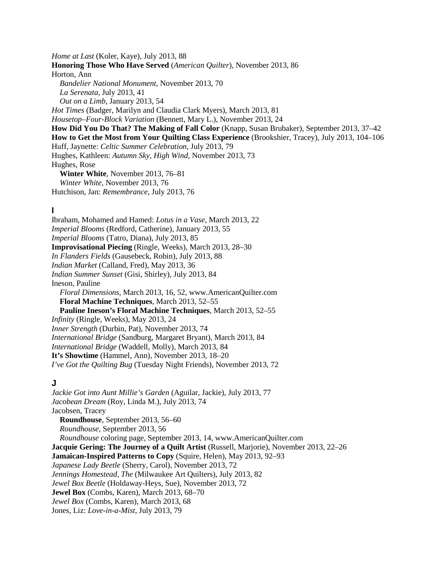*Home at Last* (Koler, Kaye), July 2013, 88 **Honoring Those Who Have Served** (*American Quilter*), November 2013, 86 Horton, Ann *Bandelier National Monument*, November 2013, 70 *La Serenata*, July 2013, 41 *Out on a Limb*, January 2013, 54 *Hot Times* (Badger, Marilyn and Claudia Clark Myers), March 2013, 81 *Housetop–Four-Block Variation* (Bennett, Mary L.), November 2013, 24 **How Did You Do That? The Making of Fall Color** (Knapp, Susan Brubaker), September 2013, 37–42 **How to Get the Most from Your Quilting Class Experience** (Brookshier, Tracey), July 2013, 104–106 Huff, Jaynette: *Celtic Summer Celebration*, July 2013, 79 Hughes, Kathleen: *Autumn Sky, High Wind*, November 2013, 73 Hughes, Rose **Winter White**, November 2013, 76–81 *Winter White*, November 2013, 76 Hutchison, Jan: *Remembrance*, July 2013, 76

#### **I**

Ibraham, Mohamed and Hamed: *Lotus in a Vase*, March 2013, 22 *Imperial Blooms* (Redford, Catherine), January 2013, 55 *Imperial Blooms* (Tatro, Diana), July 2013, 85 **Improvisational Piecing** (Ringle, Weeks), March 2013, 28–30 *In Flanders Fields* (Gausebeck, Robin), July 2013, 88 *Indian Market* (Calland, Fred), May 2013, 36 *Indian Summer Sunset* (Gisi, Shirley), July 2013, 84 Ineson, Pauline *Floral Dimensions*, March 2013, 16, 52, www.AmericanQuilter.com **Floral Machine Techniques**, March 2013, 52–55 **Pauline Ineson's Floral Machine Techniques**, March 2013, 52–55 *Infinity* (Ringle, Weeks), May 2013, 24 *Inner Strength* (Durbin, Pat), November 2013, 74 *International Bridge* (Sandburg, Margaret Bryant), March 2013, 84 *International Bridge* (Waddell, Molly), March 2013, 84 **It's Showtime** (Hammel, Ann), November 2013, 18–20 *I've Got the Quilting Bug* (Tuesday Night Friends), November 2013, 72

#### **J**

*Jackie Got into Aunt Millie's Garden* (Aguilar, Jackie), July 2013, 77 *Jacobean Dream* (Roy, Linda M.), July 2013, 74 Jacobsen, Tracey **Roundhouse**, September 2013, 56–60 *Roundhouse*, September 2013, 56 *Roundhouse* coloring page, September 2013, 14, www.AmericanQuilter.com **Jacquie Gering: The Journey of a Quilt Artist** (Russell, Marjorie), November 2013, 22–26 **Jamaican-Inspired Patterns to Copy** (Squire, Helen), May 2013, 92–93 *Japanese Lady Beetle* (Sherry, Carol), November 2013, 72 *Jennings Homestead, The* (Milwaukee Art Quilters), July 2013, 82 *Jewel Box Beetle* (Holdaway-Heys, Sue), November 2013, 72 **Jewel Box** (Combs, Karen), March 2013, 68–70 *Jewel Box* (Combs, Karen), March 2013, 68 Jones, Liz: *Love-in-a-Mist*, July 2013, 79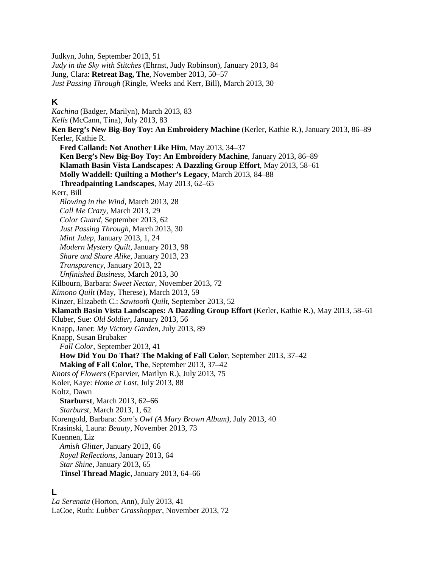Judkyn, John, September 2013, 51 *Judy in the Sky with Stitches* (Ehrnst, Judy Robinson), January 2013, 84 Jung, Clara: **Retreat Bag, The**, November 2013, 50–57 *Just Passing Through* (Ringle, Weeks and Kerr, Bill), March 2013, 30

## **K**

*Kachina* (Badger, Marilyn), March 2013, 83 *Kells* (McCann, Tina), July 2013, 83 **Ken Berg's New Big-Boy Toy: An Embroidery Machine** (Kerler, Kathie R.), January 2013, 86–89 Kerler, Kathie R. **Fred Calland: Not Another Like Him**, May 2013, 34–37 **Ken Berg's New Big-Boy Toy: An Embroidery Machine**, January 2013, 86–89 **Klamath Basin Vista Landscapes: A Dazzling Group Effort**, May 2013, 58–61 **Molly Waddell: Quilting a Mother's Legacy**, March 2013, 84–88 **Threadpainting Landscapes**, May 2013, 62–65 Kerr, Bill *Blowing in the Wind*, March 2013, 28 *Call Me Crazy*, March 2013, 29 *Color Guard*, September 2013, 62 *Just Passing Through*, March 2013, 30 *Mint Julep*, January 2013, 1, 24 *Modern Mystery Quilt*, January 2013, 98 *Share and Share Alike*, January 2013, 23 *Transparency*, January 2013, 22 *Unfinished Business*, March 2013, 30 Kilbourn, Barbara: *Sweet Nectar*, November 2013, 72 *Kimono Quilt* (May, Therese), March 2013, 59 Kinzer, Elizabeth C.: *Sawtooth Quilt*, September 2013, 52 **Klamath Basin Vista Landscapes: A Dazzling Group Effort** (Kerler, Kathie R.), May 2013, 58–61 Kluber, Sue: *Old Soldier*, January 2013, 56 Knapp, Janet: *My Victory Garden*, July 2013, 89 Knapp, Susan Brubaker *Fall Color*, September 2013, 41 **How Did You Do That? The Making of Fall Color**, September 2013, 37–42 **Making of Fall Color, The**, September 2013, 37–42 *Knots of Flowers* (Eparvier, Marilyn R.), July 2013, 75 Koler, Kaye: *Home at Last*, July 2013, 88 Koltz, Dawn **Starburst**, March 2013, 62–66 *Starburst*, March 2013, 1, 62 Korengold, Barbara: *Sam's Owl (A Mary Brown Album)*, July 2013, 40 Krasinski, Laura: *Beauty*, November 2013, 73 Kuennen, Liz *Amish Glitter*, January 2013, 66 *Royal Reflections*, January 2013, 64 *Star Shine*, January 2013, 65 **Tinsel Thread Magic**, January 2013, 64–66

### **L**

*La Serenata* (Horton, Ann), July 2013, 41 LaCoe, Ruth: *Lubber Grasshopper*, November 2013, 72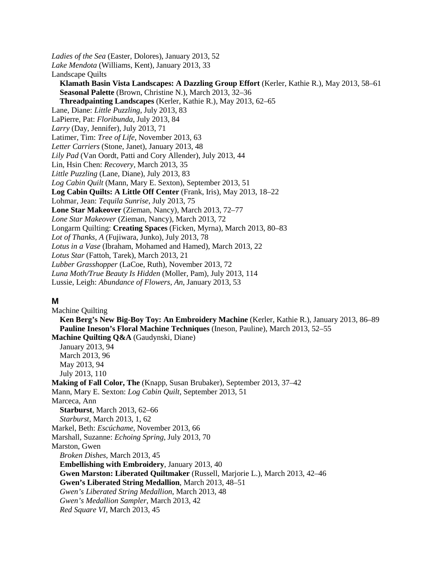*Ladies of the Sea* (Easter, Dolores), January 2013, 52 *Lake Mendota* (Williams, Kent), January 2013, 33 Landscape Quilts **Klamath Basin Vista Landscapes: A Dazzling Group Effort** (Kerler, Kathie R.), May 2013, 58–61 **Seasonal Palette** (Brown, Christine N.), March 2013, 32–36 **Threadpainting Landscapes** (Kerler, Kathie R.), May 2013, 62–65 Lane, Diane: *Little Puzzling*, July 2013, 83 LaPierre, Pat: *Floribunda*, July 2013, 84 *Larry* (Day, Jennifer), July 2013, 71 Latimer, Tim: *Tree of Life*, November 2013, 63 *Letter Carriers* (Stone, Janet), January 2013, 48 *Lily Pad* (Van Oordt, Patti and Cory Allender), July 2013, 44 Lin, Hsin Chen: *Recovery*, March 2013, 35 *Little Puzzling* (Lane, Diane), July 2013, 83 *Log Cabin Quilt* (Mann, Mary E. Sexton), September 2013, 51 **Log Cabin Quilts: A Little Off Center** (Frank, Iris), May 2013, 18–22 Lohmar, Jean: *Tequila Sunrise*, July 2013, 75 **Lone Star Makeover** (Zieman, Nancy), March 2013, 72–77 *Lone Star Makeover* (Zieman, Nancy), March 2013, 72 Longarm Quilting: **Creating Spaces** (Ficken, Myrna), March 2013, 80–83 *Lot of Thanks, A* (Fujiwara, Junko), July 2013, 78 *Lotus in a Vase* (Ibraham, Mohamed and Hamed), March 2013, 22 *Lotus Star* (Fattoh, Tarek), March 2013, 21 *Lubber Grasshopper* (LaCoe, Ruth), November 2013, 72 *Luna Moth/True Beauty Is Hidden* (Moller, Pam), July 2013, 114 Lussie, Leigh: *Abundance of Flowers, An*, January 2013, 53

#### **M**

Machine Quilting **Ken Berg's New Big-Boy Toy: An Embroidery Machine** (Kerler, Kathie R.), January 2013, 86–89 **Pauline Ineson's Floral Machine Techniques** (Ineson, Pauline), March 2013, 52–55 **Machine Quilting Q&A** (Gaudynski, Diane) January 2013, 94 March 2013, 96 May 2013, 94 July 2013, 110 **Making of Fall Color, The** (Knapp, Susan Brubaker), September 2013, 37–42 Mann, Mary E. Sexton: *Log Cabin Quilt*, September 2013, 51 Marceca, Ann **Starburst**, March 2013, 62–66 *Starburst*, March 2013, 1, 62 Markel, Beth: *Escúchame*, November 2013, 66 Marshall, Suzanne: *Echoing Spring*, July 2013, 70 Marston, Gwen *Broken Dishes*, March 2013, 45 **Embellishing with Embroidery**, January 2013, 40 **Gwen Marston: Liberated Quiltmaker** (Russell, Marjorie L.), March 2013, 42–46 **Gwen's Liberated String Medallion**, March 2013, 48–51 *Gwen's Liberated String Medallion*, March 2013, 48 *Gwen's Medallion Sampler*, March 2013, 42 *Red Square VI*, March 2013, 45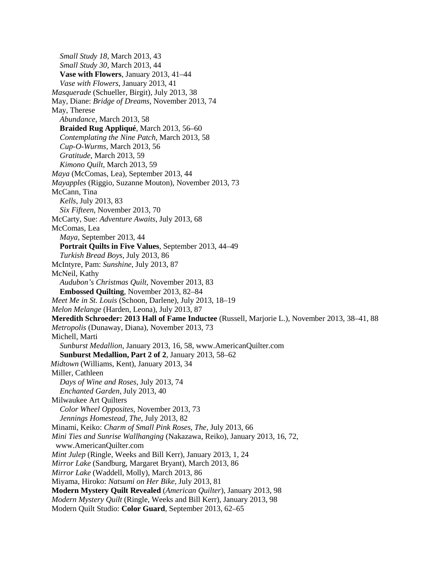*Small Study 18*, March 2013, 43 *Small Study 30*, March 2013, 44 **Vase with Flowers**, January 2013, 41–44 *Vase with Flowers*, January 2013, 41 *Masquerade* (Schueller, Birgit), July 2013, 38 May, Diane: *Bridge of Dreams*, November 2013, 74 May, Therese *Abundance*, March 2013, 58 **Braided Rug Appliqué**, March 2013, 56–60 *Contemplating the Nine Patch*, March 2013, 58 *Cup-O-Wurms*, March 2013, 56 *Gratitude*, March 2013, 59 *Kimono Quilt*, March 2013, 59 *Maya* (McComas, Lea), September 2013, 44 *Mayapples* (Riggio, Suzanne Mouton), November 2013, 73 McCann, Tina *Kells*, July 2013, 83 *Six Fifteen*, November 2013, 70 McCarty, Sue: *Adventure Awaits*, July 2013, 68 McComas, Lea *Maya*, September 2013, 44 **Portrait Quilts in Five Values**, September 2013, 44–49 *Turkish Bread Boys*, July 2013, 86 McIntyre, Pam: *Sunshine*, July 2013, 87 McNeil, Kathy *Audubon's Christmas Quilt*, November 2013, 83 **Embossed Quilting**, November 2013, 82–84 *Meet Me in St. Louis* (Schoon, Darlene), July 2013, 18–19 *Melon Melange* (Harden, Leona), July 2013, 87 **Meredith Schroeder: 2013 Hall of Fame Inductee** (Russell, Marjorie L.), November 2013, 38–41, 88 *Metropolis* (Dunaway, Diana), November 2013, 73 Michell, Marti *Sunburst Medallion*, January 2013, 16, 58, www.AmericanQuilter.com **Sunburst Medallion, Part 2 of 2**, January 2013, 58–62 *Midtown* (Williams, Kent), January 2013, 34 Miller, Cathleen *Days of Wine and Roses*, July 2013, 74 *Enchanted Garden*, July 2013, 40 Milwaukee Art Quilters *Color Wheel Opposites*, November 2013, 73 *Jennings Homestead, The*, July 2013, 82 Minami, Keiko: *Charm of Small Pink Roses, The*, July 2013, 66 *Mini Ties and Sunrise Wallhanging* (Nakazawa, Reiko), January 2013, 16, 72, www.AmericanQuilter.com *Mint Julep* (Ringle, Weeks and Bill Kerr), January 2013, 1, 24 *Mirror Lake* (Sandburg, Margaret Bryant), March 2013, 86 *Mirror Lake* (Waddell, Molly), March 2013, 86 Miyama, Hiroko: *Natsumi on Her Bike*, July 2013, 81 **Modern Mystery Quilt Revealed** (*American Quilter*), January 2013, 98 *Modern Mystery Quilt* (Ringle, Weeks and Bill Kerr), January 2013, 98 Modern Quilt Studio: **Color Guard**, September 2013, 62–65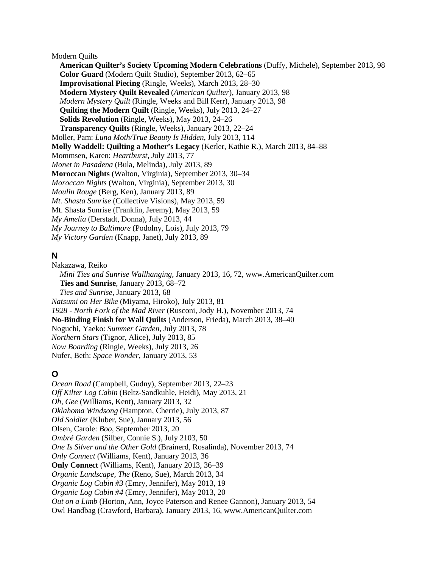Modern Quilts

**American Quilter's Society Upcoming Modern Celebrations** (Duffy, Michele), September 2013, 98 **Color Guard** (Modern Quilt Studio), September 2013, 62–65 **Improvisational Piecing** (Ringle, Weeks), March 2013, 28–30 **Modern Mystery Quilt Revealed** (*American Quilter*), January 2013, 98 *Modern Mystery Quilt* (Ringle, Weeks and Bill Kerr), January 2013, 98 **Quilting the Modern Quilt** (Ringle, Weeks), July 2013, 24–27 **Solids Revolution** (Ringle, Weeks), May 2013, 24–26 **Transparency Quilts** (Ringle, Weeks), January 2013, 22–24 Moller, Pam: *Luna Moth/True Beauty Is Hidden*, July 2013, 114 **Molly Waddell: Quilting a Mother's Legacy** (Kerler, Kathie R.), March 2013, 84–88 Mommsen, Karen: *Heartburst*, July 2013, 77 *Monet in Pasadena* (Bula, Melinda), July 2013, 89 **Moroccan Nights** (Walton, Virginia), September 2013, 30–34 *Moroccan Nights* (Walton, Virginia), September 2013, 30 *Moulin Rouge* (Berg, Ken), January 2013, 89 *Mt. Shasta Sunrise* (Collective Visions), May 2013, 59 Mt. Shasta Sunrise (Franklin, Jeremy), May 2013, 59 *My Amelia* (Derstadt, Donna), July 2013, 44 *My Journey to Baltimore* (Podolny, Lois), July 2013, 79 *My Victory Garden* (Knapp, Janet), July 2013, 89

### **N**

Nakazawa, Reiko *Mini Ties and Sunrise Wallhanging*, January 2013, 16, 72, www.AmericanQuilter.com **Ties and Sunrise**, January 2013, 68–72 *Ties and Sunrise*, January 2013, 68 *Natsumi on Her Bike* (Miyama, Hiroko), July 2013, 81 *1928 - North Fork of the Mad River* (Rusconi, Jody H.), November 2013, 74 **No-Binding Finish for Wall Quilts** (Anderson, Frieda), March 2013, 38–40 Noguchi, Yaeko: *Summer Garden*, July 2013, 78 *Northern Stars* (Tignor, Alice), July 2013, 85 *Now Boarding* (Ringle, Weeks), July 2013, 26 Nufer, Beth: *Space Wonder*, January 2013, 53

# **O**

*Ocean Road* (Campbell, Gudny), September 2013, 22–23 *Off Kilter Log Cabin* (Beltz-Sandkuhle, Heidi), May 2013, 21 *Oh, Gee* (Williams, Kent), January 2013, 32 *Oklahoma Windsong* (Hampton, Cherrie), July 2013, 87 *Old Soldier* (Kluber, Sue), January 2013, 56 Olsen, Carole: *Boo*, September 2013, 20 *Ombré Garden* (Silber, Connie S.), July 2103, 50 *One Is Silver and the Other Gold* (Brainerd, Rosalinda), November 2013, 74 *Only Connect* (Williams, Kent), January 2013, 36 **Only Connect** (Williams, Kent), January 2013, 36–39 *Organic Landscape, The* (Reno, Sue), March 2013, 34 *Organic Log Cabin #3* (Emry, Jennifer), May 2013, 19 *Organic Log Cabin #4* (Emry, Jennifer), May 2013, 20 *Out on a Limb* (Horton, Ann, Joyce Paterson and Renee Gannon), January 2013, 54 Owl Handbag (Crawford, Barbara), January 2013, 16, www.AmericanQuilter.com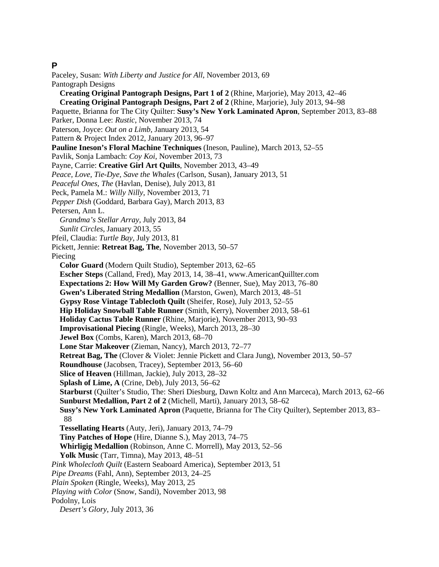#### **P**

Paceley, Susan: *With Liberty and Justice for All*, November 2013, 69 Pantograph Designs **Creating Original Pantograph Designs, Part 1 of 2** (Rhine, Marjorie), May 2013, 42–46 **Creating Original Pantograph Designs, Part 2 of 2** (Rhine, Marjorie), July 2013, 94–98 Paquette, Brianna for The City Quilter: **Susy's New York Laminated Apron**, September 2013, 83–88 Parker, Donna Lee: *Rustic*, November 2013, 74 Paterson, Joyce: *Out on a Limb*, January 2013, 54 Pattern & Project Index 2012, January 2013, 96–97 **Pauline Ineson's Floral Machine Techniques** (Ineson, Pauline), March 2013, 52–55 Pavlik, Sonja Lambach: *Coy Koi*, November 2013, 73 Payne, Carrie: **Creative Girl Art Quilts**, November 2013, 43–49 *Peace, Love, Tie-Dye, Save the Whales* (Carlson, Susan), January 2013, 51 *Peaceful Ones, The* (Havlan, Denise), July 2013, 81 Peck, Pamela M.: *Willy Nilly*, November 2013, 71 *Pepper Dish* (Goddard, Barbara Gay), March 2013, 83 Petersen, Ann L. *Grandma's Stellar Array*, July 2013, 84 *Sunlit Circles*, January 2013, 55 Pfeil, Claudia: *Turtle Bay*, July 2013, 81 Pickett, Jennie: **Retreat Bag, The**, November 2013, 50–57 Piecing **Color Guard** (Modern Quilt Studio), September 2013, 62–65 **Escher Steps** (Calland, Fred), May 2013, 14, 38–41, www.AmericanQuillter.com **Expectations 2: How Will My Garden Grow?** (Benner, Sue), May 2013, 76–80 **Gwen's Liberated String Medallion** (Marston, Gwen), March 2013, 48–51 **Gypsy Rose Vintage Tablecloth Quilt** (Sheifer, Rose), July 2013, 52–55 **Hip Holiday Snowball Table Runner** (Smith, Kerry), November 2013, 58–61 **Holiday Cactus Table Runner** (Rhine, Marjorie), November 2013, 90–93 **Improvisational Piecing** (Ringle, Weeks), March 2013, 28–30 **Jewel Box** (Combs, Karen), March 2013, 68–70 **Lone Star Makeover** (Zieman, Nancy), March 2013, 72–77 **Retreat Bag, The** (Clover & Violet: Jennie Pickett and Clara Jung), November 2013, 50–57 **Roundhouse** (Jacobsen, Tracey), September 2013, 56–60 **Slice of Heaven** (Hillman, Jackie), July 2013, 28–32 **Splash of Lime, A** (Crine, Deb), July 2013, 56–62 **Starburst** (Quilter's Studio, The: Sheri Diesburg, Dawn Koltz and Ann Marceca), March 2013, 62–66 **Sunburst Medallion, Part 2 of 2** (Michell, Marti), January 2013, 58–62 **Susy's New York Laminated Apron** (Paquette, Brianna for The City Quilter), September 2013, 83– 88 **Tessellating Hearts** (Auty, Jeri), January 2013, 74–79 **Tiny Patches of Hope** (Hire, Dianne S.), May 2013, 74–75 **Whirligig Medallion** (Robinson, Anne C. Morrell), May 2013, 52–56 **Yolk Music** (Tarr, Timna), May 2013, 48–51 *Pink Wholecloth Quilt* (Eastern Seaboard America), September 2013, 51 *Pipe Dreams* (Fahl, Ann), September 2013, 24–25 *Plain Spoken* (Ringle, Weeks), May 2013, 25 *Playing with Color* (Snow, Sandi), November 2013, 98 Podolny, Lois *Desert's Glory*, July 2013, 36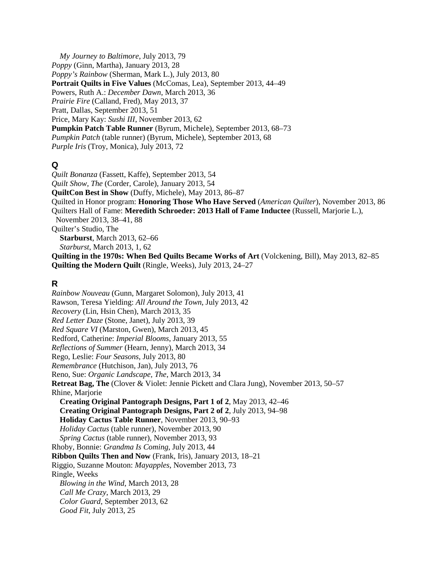*My Journey to Baltimore*, July 2013, 79 *Poppy* (Ginn, Martha), January 2013, 28 *Poppy's Rainbow* (Sherman, Mark L.), July 2013, 80 **Portrait Quilts in Five Values** (McComas, Lea), September 2013, 44–49 Powers, Ruth A.: *December Dawn*, March 2013, 36 *Prairie Fire* (Calland, Fred), May 2013, 37 Pratt, Dallas, September 2013, 51 Price, Mary Kay: *Sushi III*, November 2013, 62 **Pumpkin Patch Table Runner** (Byrum, Michele), September 2013, 68–73 *Pumpkin Patch* (table runner) (Byrum, Michele), September 2013, 68 *Purple Iris* (Troy, Monica), July 2013, 72

### **Q**

*Quilt Bonanza* (Fassett, Kaffe), September 2013, 54 *Quilt Show, The* (Corder, Carole), January 2013, 54 **QuiltCon Best in Show** (Duffy, Michele), May 2013, 86–87 Quilted in Honor program: **Honoring Those Who Have Served** (*American Quilter*), November 2013, 86 Quilters Hall of Fame: **Meredith Schroeder: 2013 Hall of Fame Inductee** (Russell, Marjorie L.), November 2013, 38–41, 88 Quilter's Studio, The **Starburst**, March 2013, 62–66 *Starburst*, March 2013, 1, 62 **Quilting in the 1970s: When Bed Quilts Became Works of Art** (Volckening, Bill), May 2013, 82–85 **Quilting the Modern Quilt** (Ringle, Weeks), July 2013, 24–27

### **R**

*Rainbow Nouveau* (Gunn, Margaret Solomon), July 2013, 41 Rawson, Teresa Yielding: *All Around the Town*, July 2013, 42 *Recovery* (Lin, Hsin Chen), March 2013, 35 *Red Letter Daze* (Stone, Janet), July 2013, 39 *Red Square VI* (Marston, Gwen), March 2013, 45 Redford, Catherine: *Imperial Blooms*, January 2013, 55 *Reflections of Summer* (Hearn, Jenny), March 2013, 34 Rego, Leslie: *Four Seasons*, July 2013, 80 *Remembrance* (Hutchison, Jan), July 2013, 76 Reno, Sue: *Organic Landscape, The*, March 2013, 34 **Retreat Bag, The** (Clover & Violet: Jennie Pickett and Clara Jung), November 2013, 50–57 Rhine, Marjorie **Creating Original Pantograph Designs, Part 1 of 2**, May 2013, 42–46 **Creating Original Pantograph Designs, Part 2 of 2**, July 2013, 94–98 **Holiday Cactus Table Runner**, November 2013, 90–93 *Holiday Cactus* (table runner), November 2013, 90 *Spring Cactus* (table runner), November 2013, 93 Rhoby, Bonnie: *Grandma Is Coming*, July 2013, 44 **Ribbon Quilts Then and Now** (Frank, Iris), January 2013, 18–21 Riggio, Suzanne Mouton: *Mayapples*, November 2013, 73 Ringle, Weeks *Blowing in the Wind*, March 2013, 28 *Call Me Crazy*, March 2013, 29 *Color Guard*, September 2013, 62 *Good Fit*, July 2013, 25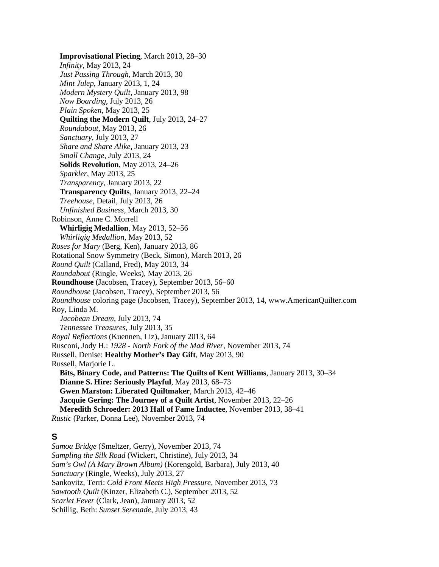**Improvisational Piecing**, March 2013, 28–30 *Infinity*, May 2013, 24 *Just Passing Through*, March 2013, 30 *Mint Julep*, January 2013, 1, 24 *Modern Mystery Quilt*, January 2013, 98 *Now Boarding*, July 2013, 26 *Plain Spoken*, May 2013, 25 **Quilting the Modern Quilt**, July 2013, 24–27 *Roundabout*, May 2013, 26 *Sanctuary*, July 2013, 27 *Share and Share Alike*, January 2013, 23 *Small Change*, July 2013, 24 **Solids Revolution**, May 2013, 24–26 *Sparkler*, May 2013, 25 *Transparency*, January 2013, 22 **Transparency Quilts**, January 2013, 22–24 *Treehouse*, Detail, July 2013, 26 *Unfinished Business*, March 2013, 30 Robinson, Anne C. Morrell **Whirligig Medallion**, May 2013, 52–56 *Whirligig Medallion*, May 2013, 52 *Roses for Mary* (Berg, Ken), January 2013, 86 Rotational Snow Symmetry (Beck, Simon), March 2013, 26 *Round Quilt* (Calland, Fred), May 2013, 34 *Roundabout* (Ringle, Weeks), May 2013, 26 **Roundhouse** (Jacobsen, Tracey), September 2013, 56–60 *Roundhouse* (Jacobsen, Tracey), September 2013, 56 *Roundhouse* coloring page (Jacobsen, Tracey), September 2013, 14, www.AmericanQuilter.com Roy, Linda M. *Jacobean Dream*, July 2013, 74 *Tennessee Treasures*, July 2013, 35 *Royal Reflections* (Kuennen, Liz), January 2013, 64 Rusconi, Jody H.: *1928 - North Fork of the Mad River*, November 2013, 74 Russell, Denise: **Healthy Mother's Day Gift**, May 2013, 90 Russell, Marjorie L. **Bits, Binary Code, and Patterns: The Quilts of Kent Williams**, January 2013, 30–34 **Dianne S. Hire: Seriously Playful**, May 2013, 68–73 **Gwen Marston: Liberated Quiltmaker**, March 2013, 42–46 **Jacquie Gering: The Journey of a Quilt Artist**, November 2013, 22–26 **Meredith Schroeder: 2013 Hall of Fame Inductee**, November 2013, 38–41 *Rustic* (Parker, Donna Lee), November 2013, 74

#### **S**

*Samoa Bridge* (Smeltzer, Gerry), November 2013, 74 *Sampling the Silk Road* (Wickert, Christine), July 2013, 34 *Sam's Owl (A Mary Brown Album)* (Korengold, Barbara), July 2013, 40 *Sanctuary* (Ringle, Weeks), July 2013, 27 Sankovitz, Terri: *Cold Front Meets High Pressure*, November 2013, 73 *Sawtooth Quilt* (Kinzer, Elizabeth C.), September 2013, 52 *Scarlet Fever* (Clark, Jean), January 2013, 52 Schillig, Beth: *Sunset Serenade*, July 2013, 43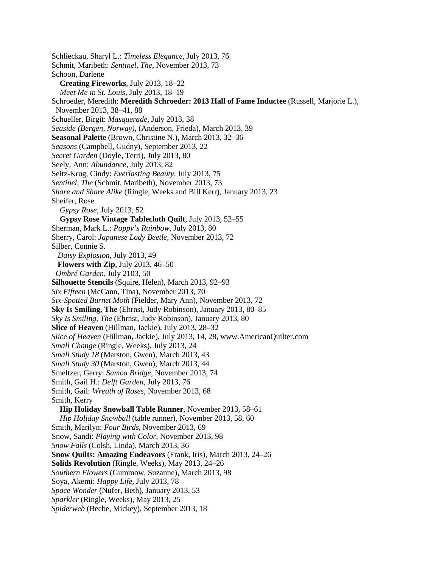Schlieckau, Sharyl L.: *Timeless Elegance*, July 2013, 76 Schmit, Maribeth: *Sentinel, The*, November 2013, 73 Schoon, Darlene **Creating Fireworks**, July 2013, 18–22 *Meet Me in St. Louis*, July 2013, 18–19 Schroeder, Meredith: **Meredith Schroeder: 2013 Hall of Fame Inductee** (Russell, Marjorie L.), November 2013, 38–41, 88 Schueller, Birgit: *Masquerade*, July 2013, 38 *Seaside (Bergen, Norway),* (Anderson, Frieda), March 2013, 39 **Seasonal Palette** (Brown, Christine N.), March 2013, 32–36 *Seasons* (Campbell, Gudny), September 2013, 22 *Secret Garden* (Doyle, Terri), July 2013, 80 Seely, Ann: *Abundance*, July 2013, 82 Seitz-Krug, Cindy: *Everlasting Beauty*, July 2013, 75 *Sentinel, The* (Schmit, Maribeth), November 2013, 73 *Share and Share Alike* (Ringle, Weeks and Bill Kerr), January 2013, 23 Sheifer, Rose *Gypsy Rose*, July 2013, 52 **Gypsy Rose Vintage Tablecloth Quilt**, July 2013, 52–55 Sherman, Mark L.: *Poppy's Rainbow*, July 2013, 80 Sherry, Carol: *Japanese Lady Beetle*, November 2013, 72 Silber, Connie S. *Daisy Explosion*, July 2013, 49 **Flowers with Zip**, July 2013, 46–50 *Ombré Garden*, July 2103, 50 **Silhouette Stencils** (Squire, Helen), March 2013, 92–93 *Six Fifteen* (McCann, Tina), November 2013, 70 *Six-Spotted Burnet Moth* (Fielder, Mary Ann), November 2013, 72 **Sky Is Smiling, The** (Ehrnst, Judy Robinson), January 2013, 80–85 *Sky Is Smiling, The* (Ehrnst, Judy Robinson), January 2013, 80 **Slice of Heaven** (Hillman, Jackie), July 2013, 28–32 *Slice of Heaven* (Hillman, Jackie), July 2013, 14, 28, www.AmericanQuilter.com *Small Change* (Ringle, Weeks), July 2013, 24 *Small Study 18* (Marston, Gwen), March 2013, 43 *Small Study 30* (Marston, Gwen), March 2013, 44 Smeltzer, Gerry: *Samoa Bridge*, November 2013, 74 Smith, Gail H.: *Delft Garden*, July 2013, 76 Smith, Gail: *Wreath of Roses*, November 2013, 68 Smith, Kerry **Hip Holiday Snowball Table Runner**, November 2013, 58–61 *Hip Holiday Snowball* (table runner), November 2013, 58, 60 Smith, Marilyn: *Four Birds*, November 2013, 69 Snow, Sandi: *Playing with Color*, November 2013, 98 *Snow Falls* (Colsh, Linda), March 2013, 36 **Snow Quilts: Amazing Endeavors** (Frank, Iris), March 2013, 24–26 **Solids Revolution** (Ringle, Weeks), May 2013, 24–26 *Southern Flowers* (Gummow, Suzanne), March 2013, 98 Soya, Akemi: *Happy Life*, July 2013, 78 *Space Wonder* (Nufer, Beth), January 2013, 53 *Sparkler* (Ringle, Weeks), May 2013, 25 *Spiderweb* (Beebe, Mickey), September 2013, 18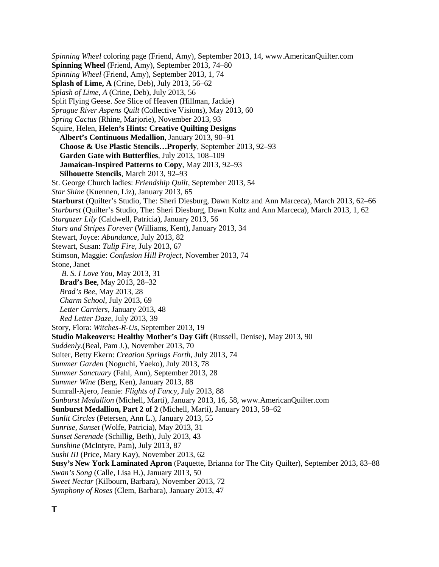*Spinning Wheel* coloring page (Friend, Amy), September 2013, 14, www.AmericanQuilter.com **Spinning Wheel** (Friend, Amy), September 2013, 74–80 *Spinning Wheel* (Friend, Amy), September 2013, 1, 74 **Splash of Lime, A** (Crine, Deb), July 2013, 56–62 *Splash of Lime, A* (Crine, Deb), July 2013, 56 Split Flying Geese. *See* Slice of Heaven (Hillman, Jackie) *Sprague River Aspens Quilt* (Collective Visions), May 2013, 60 *Spring Cactus* (Rhine, Marjorie), November 2013, 93 Squire, Helen, **Helen's Hints: Creative Quilting Designs Albert's Continuous Medallion**, January 2013, 90–91 **Choose & Use Plastic Stencils…Properly**, September 2013, 92–93 **Garden Gate with Butterflies**, July 2013, 108–109 **Jamaican-Inspired Patterns to Copy**, May 2013, 92–93 **Silhouette Stencils**, March 2013, 92–93 St. George Church ladies: *Friendship Quilt*, September 2013, 54 *Star Shine* (Kuennen, Liz), January 2013, 65 **Starburst** (Quilter's Studio, The: Sheri Diesburg, Dawn Koltz and Ann Marceca), March 2013, 62–66 *Starburst* (Quilter's Studio, The: Sheri Diesburg, Dawn Koltz and Ann Marceca), March 2013, 1, 62 *Stargazer Lily* (Caldwell, Patricia), January 2013, 56 *Stars and Stripes Forever* (Williams, Kent), January 2013, 34 Stewart, Joyce: *Abundance*, July 2013, 82 Stewart, Susan: *Tulip Fire*, July 2013, 67 Stimson, Maggie: *Confusion Hill Project*, November 2013, 74 Stone, Janet *B. S. I Love You*, May 2013, 31 **Brad's Bee**, May 2013, 28–32 *Brad's Bee*, May 2013, 28 *Charm School*, July 2013, 69 *Letter Carriers*, January 2013, 48 *Red Letter Daze*, July 2013, 39 Story, Flora: *Witches-R-Us*, September 2013, 19 **Studio Makeovers: Healthy Mother's Day Gift** (Russell, Denise), May 2013, 90 *Suddenly.*(Beal, Pam J.), November 2013, 70 Suiter, Betty Ekern: *Creation Springs Forth*, July 2013, 74 *Summer Garden* (Noguchi, Yaeko), July 2013, 78 *Summer Sanctuary* (Fahl, Ann), September 2013, 28 *Summer Wine* (Berg, Ken), January 2013, 88 Sumrall-Ajero, Jeanie: *Flights of Fancy*, July 2013, 88 *Sunburst Medallion* (Michell, Marti), January 2013, 16, 58, www.AmericanQuilter.com **Sunburst Medallion, Part 2 of 2** (Michell, Marti), January 2013, 58–62 *Sunlit Circles* (Petersen, Ann L.), January 2013, 55 *Sunrise, Sunset* (Wolfe, Patricia), May 2013, 31 *Sunset Serenade* (Schillig, Beth), July 2013, 43 *Sunshine* (McIntyre, Pam), July 2013, 87 *Sushi III* (Price, Mary Kay), November 2013, 62 **Susy's New York Laminated Apron** (Paquette, Brianna for The City Quilter), September 2013, 83–88 *Swan's Song* (Calle, Lisa H.), January 2013, 50 *Sweet Nectar* (Kilbourn, Barbara), November 2013, 72 *Symphony of Roses* (Clem, Barbara), January 2013, 47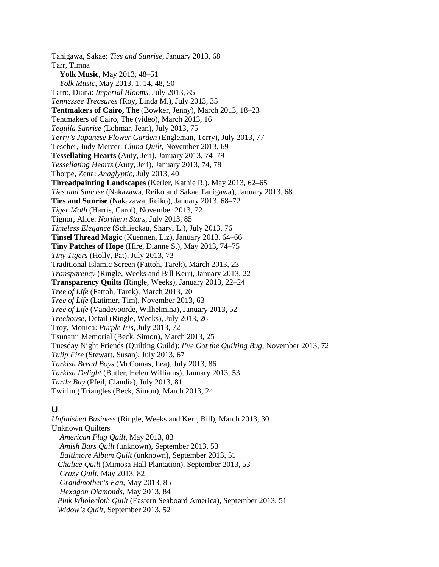Tanigawa, Sakae: *Ties and Sunrise*, January 2013, 68 Tarr, Timna **Yolk Music**, May 2013, 48–51 *Yolk Music*, May 2013, 1, 14, 48, 50 Tatro, Diana: *Imperial Blooms*, July 2013, 85 *Tennessee Treasures* (Roy, Linda M.), July 2013, 35 **Tentmakers of Cairo, The** (Bowker, Jenny), March 2013, 18–23 Tentmakers of Cairo, The (video), March 2013, 16 *Tequila Sunrise* (Lohmar, Jean), July 2013, 75 *Terry's Japanese Flower Garden* (Engleman, Terry), July 2013, 77 Tescher, Judy Mercer: *China Quilt*, November 2013, 69 **Tessellating Hearts** (Auty, Jeri), January 2013, 74–79 *Tessellating Hearts* (Auty, Jeri), January 2013, 74, 78 Thorpe, Zena: *Anaglyptic*, July 2013, 40 **Threadpainting Landscapes** (Kerler, Kathie R.), May 2013, 62–65 *Ties and Sunrise* (Nakazawa, Reiko and Sakae Tanigawa), January 2013, 68 **Ties and Sunrise** (Nakazawa, Reiko), January 2013, 68–72 *Tiger Moth* (Harris, Carol), November 2013, 72 Tignor, Alice: *Northern Stars*, July 2013, 85 *Timeless Elegance* (Schlieckau, Sharyl L.), July 2013, 76 **Tinsel Thread Magic** (Kuennen, Liz), January 2013, 64–66 **Tiny Patches of Hope** (Hire, Dianne S.), May 2013, 74–75 *Tiny Tigers* (Holly, Pat), July 2013, 73 Traditional Islamic Screen (Fattoh, Tarek), March 2013, 23 *Transparency* (Ringle, Weeks and Bill Kerr), January 2013, 22 **Transparency Quilts** (Ringle, Weeks), January 2013, 22–24 *Tree of Life* (Fattoh, Tarek), March 2013, 20 *Tree of Life* (Latimer, Tim), November 2013, 63 *Tree of Life* (Vandevoorde, Wilhelmina), January 2013, 52 *Treehouse*, Detail (Ringle, Weeks), July 2013, 26 Troy, Monica: *Purple Iris*, July 2013, 72 Tsunami Memorial (Beck, Simon), March 2013, 25 Tuesday Night Friends (Quilting Guild): *I've Got the Quilting Bug*, November 2013, 72 *Tulip Fire* (Stewart, Susan), July 2013, 67 *Turkish Bread Boys* (McComas, Lea), July 2013, 86 *Turkish Delight* (Butler, Helen Williams), January 2013, 53 *Turtle Bay* (Pfeil, Claudia), July 2013, 81 Twirling Triangles (Beck, Simon), March 2013, 24

### **U**

*Unfinished Business* (Ringle, Weeks and Kerr, Bill), March 2013, 30 Unknown Quilters *American Flag Quilt*, May 2013, 83 *Amish Bars Quilt* (unknown), September 2013, 53 *Baltimore Album Quilt* (unknown), September 2013, 51 *Chalice Quil*t (Mimosa Hall Plantation), September 2013, 53 *Crazy Quilt*, May 2013, 82 *Grandmother's Fan*, May 2013, 85 *Hexagon Diamonds*, May 2013, 84  *Pink Wholecloth Quilt* (Eastern Seaboard America), September 2013, 51  *Widow's Quilt*, September 2013, 52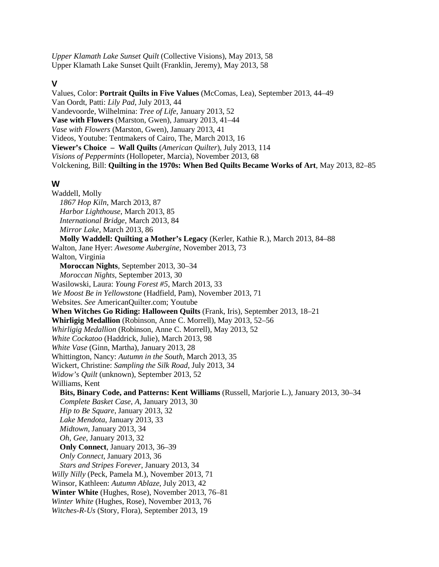*Upper Klamath Lake Sunset Quilt* (Collective Visions), May 2013, 58 Upper Klamath Lake Sunset Quilt (Franklin, Jeremy), May 2013, 58

#### **V**

Values, Color: **Portrait Quilts in Five Values** (McComas, Lea), September 2013, 44–49 Van Oordt, Patti: *Lily Pad*, July 2013, 44 Vandevoorde, Wilhelmina: *Tree of Life*, January 2013, 52 **Vase with Flowers** (Marston, Gwen), January 2013, 41–44 *Vase with Flowers* (Marston, Gwen), January 2013, 41 Videos, Youtube: Tentmakers of Cairo, The, March 2013, 16 **Viewer's Choice – Wall Quilts** (*American Quilter*), July 2013, 114 *Visions of Peppermints* (Hollopeter, Marcia), November 2013, 68 Volckening, Bill: **Quilting in the 1970s: When Bed Quilts Became Works of Art**, May 2013, 82–85

#### **W**

Waddell, Molly *1867 Hop Kiln*, March 2013, 87 *Harbor Lighthouse*, March 2013, 85 *International Bridge*, March 2013, 84 *Mirror Lake*, March 2013, 86 **Molly Waddell: Quilting a Mother's Legacy** (Kerler, Kathie R.), March 2013, 84–88 Walton, Jane Hyer: *Awesome Aubergine*, November 2013, 73 Walton, Virginia **Moroccan Nights**, September 2013, 30–34 *Moroccan Nights*, September 2013, 30 Wasilowski, Laura: *Young Forest #5*, March 2013, 33 *We Moost Be in Yellowstone* (Hadfield, Pam), November 2013, 71 Websites. *See* AmericanQuilter.com; Youtube **When Witches Go Riding: Halloween Quilts** (Frank, Iris), September 2013, 18–21 **Whirligig Medallion** (Robinson, Anne C. Morrell), May 2013, 52–56 *Whirligig Medallion* (Robinson, Anne C. Morrell), May 2013, 52 *White Cockatoo* (Haddrick, Julie), March 2013, 98 *White Vase* (Ginn, Martha), January 2013, 28 Whittington, Nancy: *Autumn in the South*, March 2013, 35 Wickert, Christine: *Sampling the Silk Road*, July 2013, 34 *Widow's Quilt* (unknown), September 2013, 52 Williams, Kent **Bits, Binary Code, and Patterns: Kent Williams** (Russell, Marjorie L.), January 2013, 30–34 *Complete Basket Case, A*, January 2013, 30 *Hip to Be Square*, January 2013, 32 *Lake Mendota*, January 2013, 33 *Midtown*, January 2013, 34 *Oh, Gee*, January 2013, 32 **Only Connect**, January 2013, 36–39 *Only Connect*, January 2013, 36 *Stars and Stripes Forever*, January 2013, 34 *Willy Nilly* (Peck, Pamela M.), November 2013, 71 Winsor, Kathleen: *Autumn Ablaze*, July 2013, 42 **Winter White** (Hughes, Rose), November 2013, 76–81 *Winter White* (Hughes, Rose), November 2013, 76 *Witches-R-Us* (Story, Flora), September 2013, 19